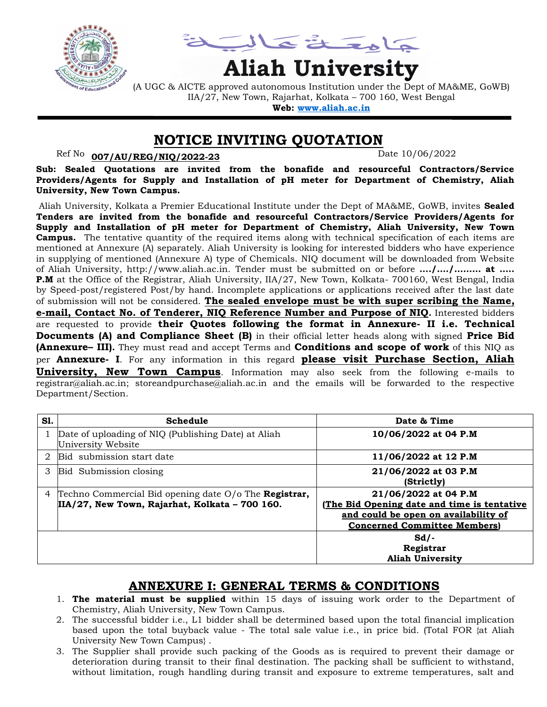

يمناعة تمالية

# **Aliah University**

(A UGC & AICTE approved autonomous Institution under the Dept of MA&ME, GoWB) IIA/27, New Town, Rajarhat, Kolkata – 700 160, West Bengal **Web: [www.aliah.ac.in](http://www.aliah.ac.in/)**

#### **NOTICE INVITING QUOTATION**

Ref No: <u>007/AU/REG/NIQ/2022-23</u> Date 10/06/2022

**Sub: Sealed Quotations are invited from the bonafide and resourceful Contractors/Service Providers/Agents for Supply and Installation of pH meter for Department of Chemistry, Aliah University, New Town Campus.**

Aliah University, Kolkata a Premier Educational Institute under the Dept of MA&ME, GoWB, invites **Sealed Tenders are invited from the bonafide and resourceful Contractors/Service Providers/Agents for Supply and Installation of pH meter for Department of Chemistry, Aliah University, New Town Campus.** The tentative quantity of the required items along with technical specification of each items are mentioned at Annexure (A) separately. Aliah University is looking for interested bidders who have experience in supplying of mentioned (Annexure A) type of Chemicals. NIQ document will be downloaded from Website of Aliah University, http://www.aliah.ac.in. Tender must be submitted on or before **…./…./……… at ….. P.M** at the Office of the Registrar, Aliah University, IIA/27, New Town, Kolkata- 700160, West Bengal, India by Speed-post/registered Post/by hand. Incomplete applications or applications received after the last date of submission will not be considered. **The sealed envelope must be with super scribing the Name, e-mail, Contact No. of Tenderer, NIQ Reference Number and Purpose of NIQ.** Interested bidders are requested to provide **their Quotes following the format in Annexure- II i.e. Technical Documents (A) and Compliance Sheet (B)** in their official letter heads along with signed **Price Bid (Annexure– III).** They must read and accept Terms and **Conditions and scope of work** of this NIQ as per **Annexure- I**. For any information in this regard **please visit Purchase Section, Aliah University, New Town Campus**. Information may also seek from the following e-mails to registrar@aliah.ac.in; storeandpurchase@aliah.ac.in and the emails will be forwarded to the respective Department/Section.

| S1. | Schedule                                                                                                         | Date & Time                                                                                                                                        |
|-----|------------------------------------------------------------------------------------------------------------------|----------------------------------------------------------------------------------------------------------------------------------------------------|
|     | Date of uploading of NIQ (Publishing Date) at Aliah<br>University Website                                        | 10/06/2022 at 04 P.M                                                                                                                               |
| 2   | Bid submission start date                                                                                        | 11/06/2022 at 12 P.M                                                                                                                               |
| 3   | Bid Submission closing                                                                                           | 21/06/2022 at 03 P.M<br>(Strictly)                                                                                                                 |
| 4   | Techno Commercial Bid opening date $O/O$ The <b>Registrar,</b><br>IIA/27, New Town, Rajarhat, Kolkata - 700 160. | 21/06/2022 at 04 P.M<br>(The Bid Opening date and time is tentative<br>and could be open on availability of<br><b>Concerned Committee Members)</b> |
|     |                                                                                                                  | $Sd$ .<br>Registrar<br><b>Aliah University</b>                                                                                                     |

#### **ANNEXURE I: GENERAL TERMS & CONDITIONS**

- 1. **The material must be supplied** within 15 days of issuing work order to the Department of Chemistry, Aliah University, New Town Campus.
- 2. The successful bidder i.e., L1 bidder shall be determined based upon the total financial implication based upon the total buyback value - The total sale value i.e., in price bid. (Total FOR {at Aliah University New Town Campus} .
- 3. The Supplier shall provide such packing of the Goods as is required to prevent their damage or deterioration during transit to their final destination. The packing shall be sufficient to withstand, without limitation, rough handling during transit and exposure to extreme temperatures, salt and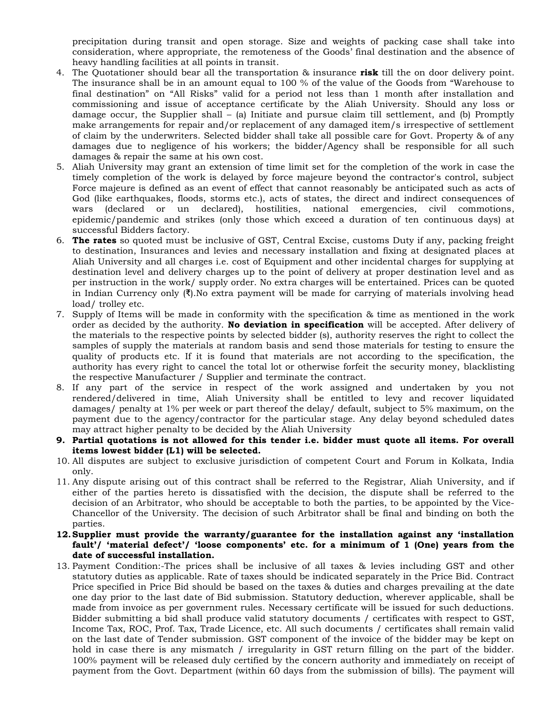precipitation during transit and open storage. Size and weights of packing case shall take into consideration, where appropriate, the remoteness of the Goods' final destination and the absence of heavy handling facilities at all points in transit.

- 4. The Quotationer should bear all the transportation & insurance **risk** till the on door delivery point. The insurance shall be in an amount equal to 100 % of the value of the Goods from "Warehouse to final destination" on "All Risks" valid for a period not less than 1 month after installation and commissioning and issue of acceptance certificate by the Aliah University. Should any loss or damage occur, the Supplier shall – (a) Initiate and pursue claim till settlement, and (b) Promptly make arrangements for repair and/or replacement of any damaged item/s irrespective of settlement of claim by the underwriters. Selected bidder shall take all possible care for Govt. Property & of any damages due to negligence of his workers; the bidder/Agency shall be responsible for all such damages & repair the same at his own cost.
- 5. Aliah University may grant an extension of time limit set for the completion of the work in case the timely completion of the work is delayed by force majeure beyond the contractor's control, subject Force majeure is defined as an event of effect that cannot reasonably be anticipated such as acts of God (like earthquakes, floods, storms etc.), acts of states, the direct and indirect consequences of wars (declared or un declared), hostilities, national emergencies, civil commotions, epidemic/pandemic and strikes (only those which exceed a duration of ten continuous days) at successful Bidders factory.
- 6. **The rates** so quoted must be inclusive of GST, Central Excise, customs Duty if any, packing freight to destination, Insurances and levies and necessary installation and fixing at designated places at Aliah University and all charges i.e. cost of Equipment and other incidental charges for supplying at destination level and delivery charges up to the point of delivery at proper destination level and as per instruction in the work/ supply order. No extra charges will be entertained. Prices can be quoted in Indian Currency only  $(\bar{\mathbf{x}})$ . No extra payment will be made for carrying of materials involving head load/ trolley etc.
- 7. Supply of Items will be made in conformity with the specification & time as mentioned in the work order as decided by the authority. **No deviation in specification** will be accepted. After delivery of the materials to the respective points by selected bidder (s), authority reserves the right to collect the samples of supply the materials at random basis and send those materials for testing to ensure the quality of products etc. If it is found that materials are not according to the specification, the authority has every right to cancel the total lot or otherwise forfeit the security money, blacklisting the respective Manufacturer / Supplier and terminate the contract.
- 8. If any part of the service in respect of the work assigned and undertaken by you not rendered/delivered in time, Aliah University shall be entitled to levy and recover liquidated damages/ penalty at 1% per week or part thereof the delay/ default, subject to 5% maximum, on the payment due to the agency/contractor for the particular stage. Any delay beyond scheduled dates may attract higher penalty to be decided by the Aliah University
- **9. Partial quotations is not allowed for this tender i.e. bidder must quote all items. For overall items lowest bidder (L1) will be selected.**
- 10. All disputes are subject to exclusive jurisdiction of competent Court and Forum in Kolkata, India only.
- 11. Any dispute arising out of this contract shall be referred to the Registrar, Aliah University, and if either of the parties hereto is dissatisfied with the decision, the dispute shall be referred to the decision of an Arbitrator, who should be acceptable to both the parties, to be appointed by the Vice-Chancellor of the University. The decision of such Arbitrator shall be final and binding on both the parties.
- **12.Supplier must provide the warranty/guarantee for the installation against any 'installation fault'/ 'material defect'/ 'loose components' etc. for a minimum of 1 (One) years from the date of successful installation.**
- 13. Payment Condition:-The prices shall be inclusive of all taxes & levies including GST and other statutory duties as applicable. Rate of taxes should be indicated separately in the Price Bid. Contract Price specified in Price Bid should be based on the taxes & duties and charges prevailing at the date one day prior to the last date of Bid submission. Statutory deduction, wherever applicable, shall be made from invoice as per government rules. Necessary certificate will be issued for such deductions. Bidder submitting a bid shall produce valid statutory documents / certificates with respect to GST, Income Tax, ROC, Prof. Tax, Trade Licence, etc. All such documents / certificates shall remain valid on the last date of Tender submission. GST component of the invoice of the bidder may be kept on hold in case there is any mismatch / irregularity in GST return filling on the part of the bidder. 100% payment will be released duly certified by the concern authority and immediately on receipt of payment from the Govt. Department (within 60 days from the submission of bills). The payment will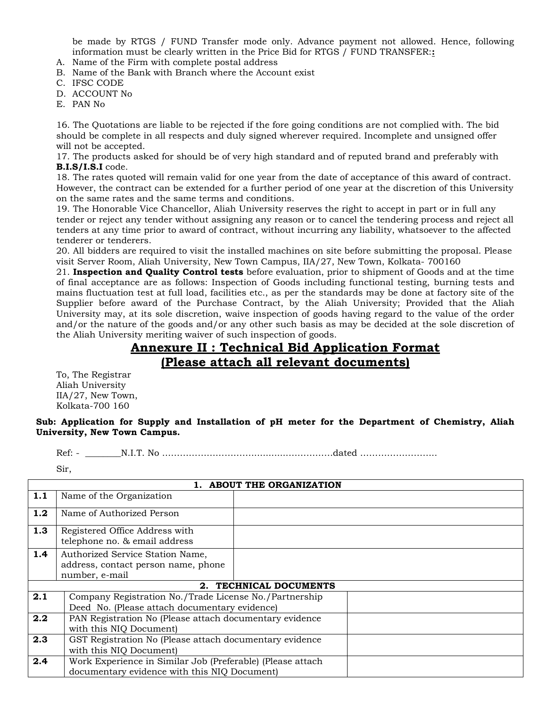be made by RTGS / FUND Transfer mode only. Advance payment not allowed. Hence, following information must be clearly written in the Price Bid for RTGS / FUND TRANSFER:**:**

- A. Name of the Firm with complete postal address
- B. Name of the Bank with Branch where the Account exist
- C. IFSC CODE
- D. ACCOUNT No
- E. PAN No

16. The Quotations are liable to be rejected if the fore going conditions are not complied with. The bid should be complete in all respects and duly signed wherever required. Incomplete and unsigned offer will not be accepted.

17. The products asked for should be of very high standard and of reputed brand and preferably with **B.I.S/I.S.I** code.

18. The rates quoted will remain valid for one year from the date of acceptance of this award of contract. However, the contract can be extended for a further period of one year at the discretion of this University on the same rates and the same terms and conditions.

19. The Honorable Vice Chancellor, Aliah University reserves the right to accept in part or in full any tender or reject any tender without assigning any reason or to cancel the tendering process and reject all tenders at any time prior to award of contract, without incurring any liability, whatsoever to the affected tenderer or tenderers.

20. All bidders are required to visit the installed machines on site before submitting the proposal. Please visit Server Room, Aliah University, New Town Campus, IIA/27, New Town, Kolkata- 700160

21. **Inspection and Quality Control tests** before evaluation, prior to shipment of Goods and at the time of final acceptance are as follows: Inspection of Goods including functional testing, burning tests and mains fluctuation test at full load, facilities etc., as per the standards may be done at factory site of the Supplier before award of the Purchase Contract, by the Aliah University; Provided that the Aliah University may, at its sole discretion, waive inspection of goods having regard to the value of the order and/or the nature of the goods and/or any other such basis as may be decided at the sole discretion of the Aliah University meriting waiver of such inspection of goods.

### **Annexure II : Technical Bid Application Format (Please attach all relevant documents)**

To, The Registrar Aliah University IIA/27, New Town, Kolkata-700 160

**Sub: Application for Supply and Installation of pH meter for the Department of Chemistry, Aliah University, New Town Campus.**

Ref: - \_\_\_\_\_\_\_\_N.I.T. No ………………………….............……………dated ……………………..

Sir,

| 1. ABOUT THE ORGANIZATION |                                                                                           |  |  |
|---------------------------|-------------------------------------------------------------------------------------------|--|--|
| 1.1                       | Name of the Organization                                                                  |  |  |
| 1.2                       | Name of Authorized Person                                                                 |  |  |
| 1.3                       | Registered Office Address with<br>telephone no. & email address                           |  |  |
| 1.4                       | Authorized Service Station Name,<br>address, contact person name, phone<br>number, e-mail |  |  |
| 2. TECHNICAL DOCUMENTS    |                                                                                           |  |  |
| 2.1                       | Company Registration No./Trade License No./Partnership                                    |  |  |
|                           | Deed No. (Please attach documentary evidence)                                             |  |  |
| 2.2                       | PAN Registration No (Please attach documentary evidence                                   |  |  |
|                           | with this NIQ Document)                                                                   |  |  |
| 2.3                       | GST Registration No (Please attach documentary evidence                                   |  |  |
|                           | with this NIQ Document)                                                                   |  |  |
| 2.4                       | Work Experience in Similar Job (Preferable) (Please attach                                |  |  |
|                           | documentary evidence with this NIQ Document)                                              |  |  |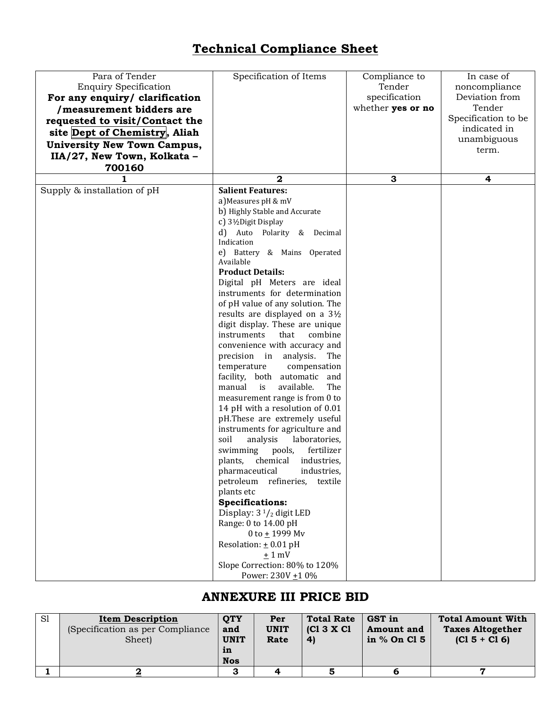## **Technical Compliance Sheet**

| Para of Tender<br><b>Enquiry Specification</b><br>For any enquiry/ clarification<br>/measurement bidders are<br>requested to visit/Contact the<br>site Dept of Chemistry, Aliah<br><b>University New Town Campus,</b><br>IIA/27, New Town, Kolkata -<br>700160<br>1 | Specification of Items<br>$\mathbf{2}$                                                                                                                                                                                                                                                                                                                                                                                                                                                                                                                                                                                                                                                                                                                                                                                                                                                                                                                                                                                                                                                                                              | Compliance to<br>Tender<br>specification<br>whether yes or no<br>3 | In case of<br>noncompliance<br>Deviation from<br>Tender<br>Specification to be<br>indicated in<br>unambiguous<br>term.<br>4 |
|---------------------------------------------------------------------------------------------------------------------------------------------------------------------------------------------------------------------------------------------------------------------|-------------------------------------------------------------------------------------------------------------------------------------------------------------------------------------------------------------------------------------------------------------------------------------------------------------------------------------------------------------------------------------------------------------------------------------------------------------------------------------------------------------------------------------------------------------------------------------------------------------------------------------------------------------------------------------------------------------------------------------------------------------------------------------------------------------------------------------------------------------------------------------------------------------------------------------------------------------------------------------------------------------------------------------------------------------------------------------------------------------------------------------|--------------------------------------------------------------------|-----------------------------------------------------------------------------------------------------------------------------|
| Supply & installation of pH                                                                                                                                                                                                                                         | <b>Salient Features:</b>                                                                                                                                                                                                                                                                                                                                                                                                                                                                                                                                                                                                                                                                                                                                                                                                                                                                                                                                                                                                                                                                                                            |                                                                    |                                                                                                                             |
|                                                                                                                                                                                                                                                                     | a) Measures pH & mV<br>b) Highly Stable and Accurate<br>c) 3½Digit Display<br>d) Auto Polarity & Decimal<br>Indication<br>e) Battery & Mains Operated<br>Available<br><b>Product Details:</b><br>Digital pH Meters are ideal<br>instruments for determination<br>of pH value of any solution. The<br>results are displayed on a 3½<br>digit display. These are unique<br>instruments<br>that<br>combine<br>convenience with accuracy and<br>precision in analysis.<br>The<br>temperature<br>compensation<br>facility, both automatic and<br>available.<br>The<br>manual<br>is<br>measurement range is from 0 to<br>14 pH with a resolution of 0.01<br>pH.These are extremely useful<br>instruments for agriculture and<br>soil<br>analysis<br>laboratories,<br>swimming<br>pools,<br>fertilizer<br>chemical<br>plants,<br>industries,<br>industries,<br>pharmaceutical<br>petroleum refineries,<br>textile<br>plants etc<br><b>Specifications:</b><br>Display: $3\frac{1}{2}$ digit LED<br>Range: 0 to 14.00 pH<br>0 to $\pm$ 1999 Mv<br>Resolation: $\pm$ 0.01 pH<br>$±1$ mV<br>Slope Correction: 80% to 120%<br>Power: 230V ±1 0% |                                                                    |                                                                                                                             |

## **ANNEXURE III PRICE BID**

| S1 | <b>Item Description</b><br>(Specification as per Compliance)<br>Sheet) | <b>OTY</b><br>and<br><b>UNIT</b><br>in<br><b>Nos</b> | Per<br><b>UNIT</b><br>Rate | <b>Total Rate</b><br>$ C13 \times C1 $<br>4) | GST in<br><b>Amount</b> and<br>in % On Cl 5 | <b>Total Amount With</b><br><b>Taxes Altogether</b><br>$(C15 + C16)$ |
|----|------------------------------------------------------------------------|------------------------------------------------------|----------------------------|----------------------------------------------|---------------------------------------------|----------------------------------------------------------------------|
|    |                                                                        | З                                                    |                            |                                              |                                             |                                                                      |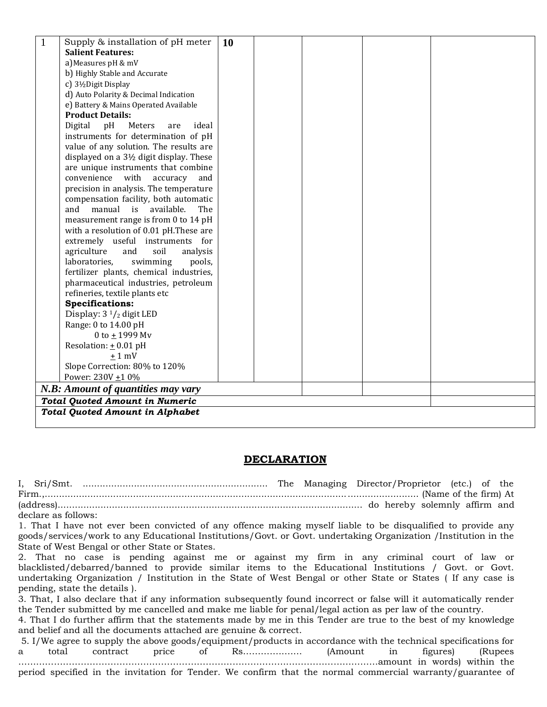|                                    | Supply & installation of pH meter                  | 10 |  |  |  |  |
|------------------------------------|----------------------------------------------------|----|--|--|--|--|
|                                    | <b>Salient Features:</b>                           |    |  |  |  |  |
|                                    | a) Measures pH & mV                                |    |  |  |  |  |
|                                    | b) Highly Stable and Accurate                      |    |  |  |  |  |
|                                    | c) 3½Digit Display                                 |    |  |  |  |  |
|                                    | d) Auto Polarity & Decimal Indication              |    |  |  |  |  |
|                                    | e) Battery & Mains Operated Available              |    |  |  |  |  |
|                                    | <b>Product Details:</b>                            |    |  |  |  |  |
|                                    | Digital<br>ideal<br>pH<br>Meters<br>are            |    |  |  |  |  |
|                                    | instruments for determination of pH                |    |  |  |  |  |
|                                    | value of any solution. The results are             |    |  |  |  |  |
|                                    | displayed on a $3\frac{1}{2}$ digit display. These |    |  |  |  |  |
|                                    | are unique instruments that combine                |    |  |  |  |  |
|                                    | convenience with<br>accuracy<br>and                |    |  |  |  |  |
|                                    | precision in analysis. The temperature             |    |  |  |  |  |
|                                    | compensation facility, both automatic              |    |  |  |  |  |
|                                    | available.<br>manual<br>is<br>and<br>The           |    |  |  |  |  |
|                                    | measurement range is from 0 to 14 pH               |    |  |  |  |  |
|                                    | with a resolution of 0.01 pH.These are             |    |  |  |  |  |
|                                    | extremely useful instruments for                   |    |  |  |  |  |
|                                    | agriculture<br>and<br>soil<br>analysis             |    |  |  |  |  |
|                                    | laboratories.<br>swimming<br>pools,                |    |  |  |  |  |
|                                    | fertilizer plants, chemical industries,            |    |  |  |  |  |
|                                    | pharmaceutical industries, petroleum               |    |  |  |  |  |
|                                    | refineries, textile plants etc                     |    |  |  |  |  |
|                                    | <b>Specifications:</b>                             |    |  |  |  |  |
|                                    | Display: $3\frac{1}{2}$ digit LED                  |    |  |  |  |  |
|                                    | Range: 0 to 14.00 pH                               |    |  |  |  |  |
|                                    | 0 to $\pm$ 1999 Mv                                 |    |  |  |  |  |
|                                    | Resolation: $\pm$ 0.01 pH                          |    |  |  |  |  |
|                                    | $+1$ mV                                            |    |  |  |  |  |
|                                    | Slope Correction: 80% to 120%                      |    |  |  |  |  |
|                                    | Power: $230V + 10\%$                               |    |  |  |  |  |
| N.B: Amount of quantities may vary |                                                    |    |  |  |  |  |
|                                    | <b>Total Quoted Amount in Numeric</b>              |    |  |  |  |  |
|                                    | <b>Total Quoted Amount in Alphabet</b>             |    |  |  |  |  |
|                                    |                                                    |    |  |  |  |  |

#### **DECLARATION**

I, Sri/Smt. ................................................................. The Managing Director/Proprietor (etc.) of the Firm.,................................................................................................................................... (Name of the firm) At (address)........................................................................................................... do hereby solemnly affirm and declare as follows: 1. That I have not ever been convicted of any offence making myself liable to be disqualified to provide any goods/services/work to any Educational Institutions/Govt. or Govt. undertaking Organization /Institution in the State of West Bengal or other State or States. 2. That no case is pending against me or against my firm in any criminal court of law or blacklisted/debarred/banned to provide similar items to the Educational Institutions / Govt. or Govt. undertaking Organization / Institution in the State of West Bengal or other State or States ( If any case is pending, state the details ). 3. That, I also declare that if any information subsequently found incorrect or false will it automatically render the Tender submitted by me cancelled and make me liable for penal/legal action as per law of the country. 4. That I do further affirm that the statements made by me in this Tender are true to the best of my knowledge

and belief and all the documents attached are genuine & correct.

5. I/We agree to supply the above goods/equipment/products in accordance with the technical specifications for a total contract price of Rs…………..…… (Amount in figures) (Rupees ……………………………………………………………………………….…………………………amount in words) within the period specified in the invitation for Tender. We confirm that the normal commercial warranty/guarantee of